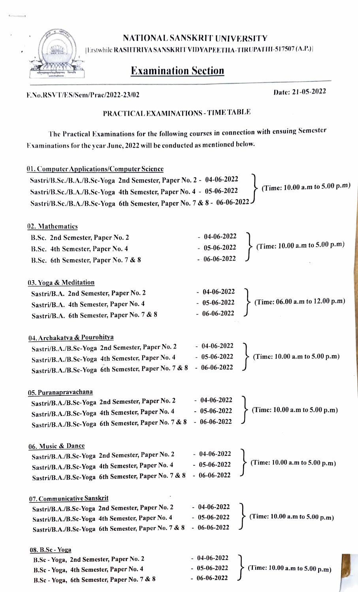NATIONALSANSKRIT UNIVERSITY

|Erstwhile RASHTRIYA SANSKRIT VIDYAPEETHA-TIRUPATHI-517507 (A.P.)|

## Examination Section

## F.No.RSVT/ES/Sem/Prac/2022-23/02 Date: 21-05-2022 PRACTICAL EXAMINATIONS-TIME TABLE The Practical Examinations for the following courscs in connection with ensuing Semcster Examinations for the year June, 2022 will be conducted as mentioned below. 01. Computer Applications/Computer Science Sastri/B.Sc./B.A./B.Sc-Yoga 2nd Semester, Paper No. 2 - 04-06-2022 Sastri/B.Sc./B.A./B.Sc-Yoga 4th Semester, Paper No. 4 - 05-06-2022 (Time: 10.00 a.m to 5.00 p.m) SastrilB.Sc./B.A./B.Sc-Yoga 6th Semester, Paper No. 7 & 8- 06-06-2022 02. Mathematics B.Sc. 2nd Semester, Paper No. 2 - 04-06-2022 B.Sc. 4th Semester, Paper No. 4 - 05-06-2022 (Time: 10.00 a.m to 5.00 p.m) B.Sc. 6th Semester, Paper No. 7 & 8 06-06-2022 03. Yoga & Meditation Sastri/B.A. 2nd Semester, Paper No. 2 - 04-06-2022 Sastri/B.A. 4th Semester, Paper No. 4 - 05-06-2022 (Time: 06.00 a.m to 12.00 p.m) Sastri/B.A. 6th Semester, Paper No. 7 & 8 - 06-06-2022  $\underline{04. Archakatva \& Pourohitya}$ <br>Sastri/B.A./B.Sc-Yoga 2nd Scmester, Paper No. 2 - 04-06-2022<br>Sastri/B.A./B.Sc-Yoga 4th Semester, Paper No. 4 - 05-06-2022 - 05-06-2022 (Timc: 10.00 a.m to 5.00 p.m) Sastri/B.A./B.Sc-Yoga 4th Semester, Paper No. 4 Sastri/B.A./B.Sc-Yoga 6th Semester, Paper No. 7 & 8  $-06-06-2022$ 05. Puranapravachana<br>
Sastri/B.A./B.Sc-Yoga 2nd Semester, Paper No. 2 - 04-06-2022 Sastri/B.A./B.Sc-Yoga 4th Semester, Paper No. 4 - 05-06-2022 > (Time: 10.00 a.m to 5.00 p.m) Sastri/B.A./B.Sc-Yoga 6th Semester, Paper No. 7 & 8  $-06-06-2022$ 05-06-2022 06. Music& Dance Sastri/B.A./B.Sc-Yoga 2nd Semester, Paper No. 2 - 04-06-2022<br>Sastri/B.A./B.Sc.Yoga 4th Semester, Paper No. 4 - 05-06-2022  $\frac{1}{2}$  Sastri/B.A./B.Sc-Yoga 4th Semester, Paper No. 4  $-$  05-06-2022  $\left\{\right.$  (Time: 10.00 a.m to 5.00 p.m) Sastri/B.A./B.Sc-Yoga 6th Semester, Paper No. 7 & 8 07. Communicative Sanskrit Sastri/B.A./B.Se-Yoga 2nd Semester, Paper No. 2 Sastri/B.A./B.Se-Yoga 4th Semester, Paper No. 4 - 04-06-2022  $-05-06-2022$ (Time: 10.00 a.m to 5.00 p.m) Sastri/B.A./B.Sc-Yoga 6th Semester, Paper No. 7 & 8  $-06-06-2022$ 08. B.Sc - Yoga<br>B.Sc - Yoga, 2nd Semester, Paper No. 2 B.Se-Yoga, 4th Semester, Paper No. 4 B.Sc - Yoga, 6th Semester, Paper No. 7 & 8 - 04-06-2022 (Time: 10.00 a.m to 5.00 p.m)  $-06-06-2022$